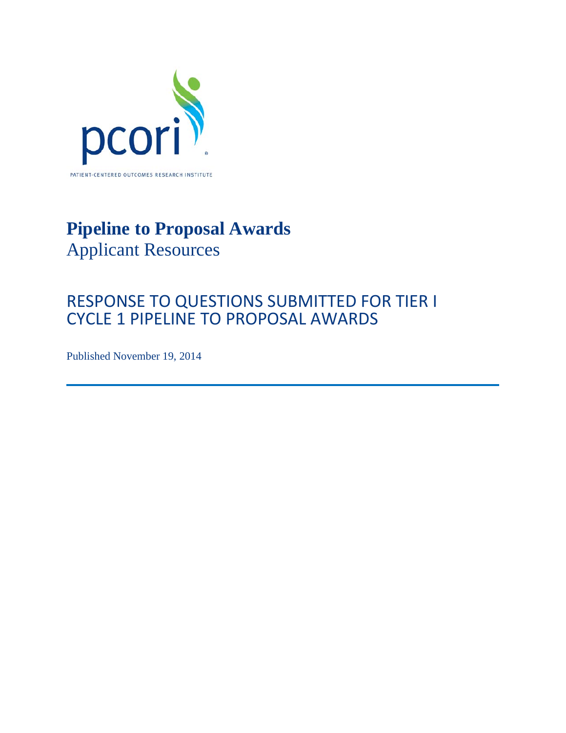

# **Pipeline to Proposal Awards** Applicant Resources

## RESPONSE TO QUESTIONS SUBMITTED FOR TIER I CYCLE 1 PIPELINE TO PROPOSAL AWARDS

Published November 19, 2014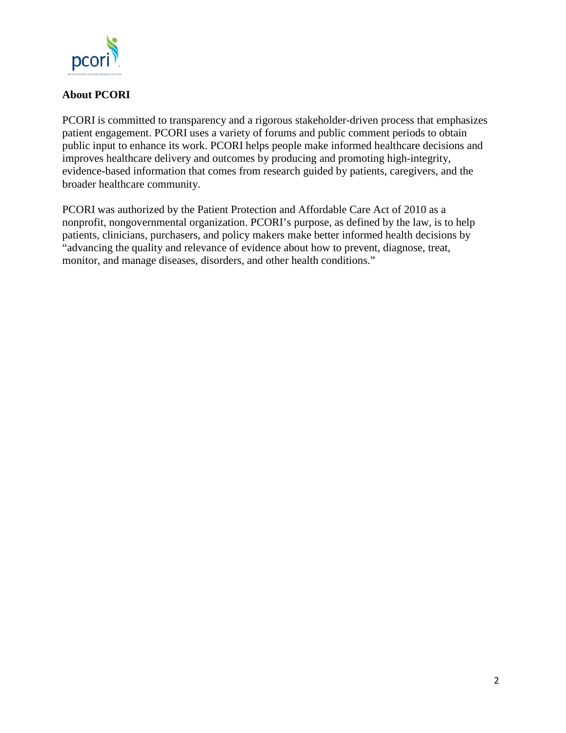

## **About PCORI**

PCORI is committed to transparency and a rigorous stakeholder-driven process that emphasizes patient engagement. PCORI uses a variety of forums and public comment periods to obtain public input to enhance its work. PCORI helps people make informed healthcare decisions and improves healthcare delivery and outcomes by producing and promoting high-integrity, evidence-based information that comes from research guided by patients, caregivers, and the broader healthcare community.

PCORI was authorized by the Patient Protection and Affordable Care Act of 2010 as a nonprofit, nongovernmental organization. PCORI's purpose, as defined by the law, is to help patients, clinicians, purchasers, and policy makers make better informed health decisions by "advancing the quality and relevance of evidence about how to prevent, diagnose, treat, monitor, and manage diseases, disorders, and other health conditions."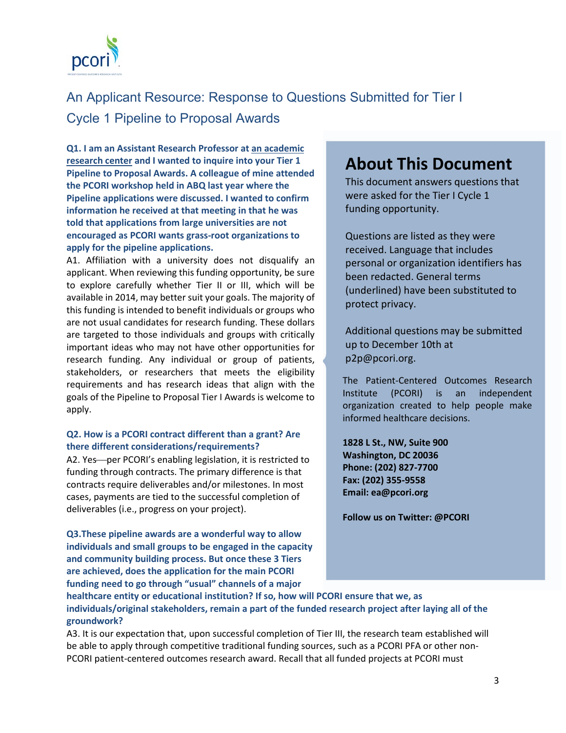

## An Applicant Resource: Response to Questions Submitted for Tier I Cycle 1 Pipeline to Proposal Awards

**Q1. I am an Assistant Research Professor at an academic research center and I wanted to inquire into your Tier 1 Pipeline to Proposal Awards. A colleague of mine attended the PCORI workshop held in ABQ last year where the Pipeline applications were discussed. I wanted to confirm information he received at that meeting in that he was told that applications from large universities are not encouraged as PCORI wants grass-root organizations to apply for the pipeline applications.**

A1. Affiliation with a university does not disqualify an applicant. When reviewing this funding opportunity, be sure to explore carefully whether Tier II or III, which will be available in 2014, may better suit your goals. The majority of this funding is intended to benefit individuals or groups who are not usual candidates for research funding. These dollars are targeted to those individuals and groups with critically important ideas who may not have other opportunities for research funding. Any individual or group of patients, stakeholders, or researchers that meets the eligibility requirements and has research ideas that align with the goals of the Pipeline to Proposal Tier I Awards is welcome to apply.

#### **Q2. How is a PCORI contract different than a grant? Are there different considerations/requirements?**

A2. Yes—per PCORI's enabling legislation, it is restricted to funding through contracts. The primary difference is that contracts require deliverables and/or milestones. In most cases, payments are tied to the successful completion of deliverables (i.e., progress on your project).

**Q3.These pipeline awards are a wonderful way to allow individuals and small groups to be engaged in the capacity and community building process. But once these 3 Tiers are achieved, does the application for the main PCORI funding need to go through "usual" channels of a major** 

## **About This Document**

This document answers questions that were asked for the Tier I Cycle 1 funding opportunity.

Questions are listed as they were received. Language that includes personal or organization identifiers has been redacted. General terms (underlined) have been substituted to protect privacy.

Additional questions may be submitted up to December 10th at p2p@pcori.org.

The Patient-Centered Outcomes Research Institute (PCORI) is an independent organization created to help people make informed healthcare decisions.

**1828 L St., NW, Suite 900 Washington, DC 20036 Phone: (202) 827-7700 Fax: (202) 355-9558 Email: ea@pcori.org**

**Follow us on Twitter: @PCORI**

**healthcare entity or educational institution? If so, how will PCORI ensure that we, as individuals/original stakeholders, remain a part of the funded research project after laying all of the groundwork?**

A3. It is our expectation that, upon successful completion of Tier III, the research team established will be able to apply through competitive traditional funding sources, such as a PCORI PFA or other non-PCORI patient-centered outcomes research award. Recall that all funded projects at PCORI must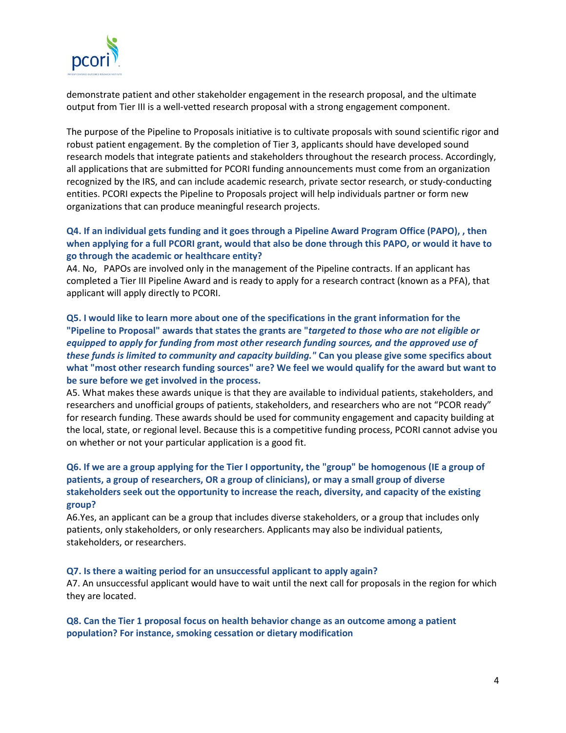

demonstrate patient and other stakeholder engagement in the research proposal, and the ultimate output from Tier III is a well-vetted research proposal with a strong engagement component.

The purpose of the Pipeline to Proposals initiative is to cultivate proposals with sound scientific rigor and robust patient engagement. By the completion of Tier 3, applicants should have developed sound research models that integrate patients and stakeholders throughout the research process. Accordingly, all applications that are submitted for PCORI funding announcements must come from an organization recognized by the IRS, and can include academic research, private sector research, or study-conducting entities. PCORI expects the Pipeline to Proposals project will help individuals partner or form new organizations that can produce meaningful research projects.

### **Q4. If an individual gets funding and it goes through a Pipeline Award Program Office (PAPO), , then when applying for a full PCORI grant, would that also be done through this PAPO, or would it have to go through the academic or healthcare entity?**

A4. No, PAPOs are involved only in the management of the Pipeline contracts. If an applicant has completed a Tier III Pipeline Award and is ready to apply for a research contract (known as a PFA), that applicant will apply directly to PCORI.

**Q5. I would like to learn more about one of the specifications in the grant information for the "Pipeline to Proposal" awards that states the grants are "***targeted to those who are not eligible or equipped to apply for funding from most other research funding sources, and the approved use of these funds is limited to community and capacity building."* **Can you please give some specifics about what "most other research funding sources" are? We feel we would qualify for the award but want to be sure before we get involved in the process.**

A5. What makes these awards unique is that they are available to individual patients, stakeholders, and researchers and unofficial groups of patients, stakeholders, and researchers who are not "PCOR ready" for research funding. These awards should be used for community engagement and capacity building at the local, state, or regional level. Because this is a competitive funding process, PCORI cannot advise you on whether or not your particular application is a good fit.

### **Q6. If we are a group applying for the Tier I opportunity, the "group" be homogenous (IE a group of patients, a group of researchers, OR a group of clinicians), or may a small group of diverse stakeholders seek out the opportunity to increase the reach, diversity, and capacity of the existing group?**

A6.Yes, an applicant can be a group that includes diverse stakeholders, or a group that includes only patients, only stakeholders, or only researchers. Applicants may also be individual patients, stakeholders, or researchers.

#### **Q7. Is there a waiting period for an unsuccessful applicant to apply again?**

A7. An unsuccessful applicant would have to wait until the next call for proposals in the region for which they are located.

#### **Q8. Can the Tier 1 proposal focus on health behavior change as an outcome among a patient population? For instance, smoking cessation or dietary modification**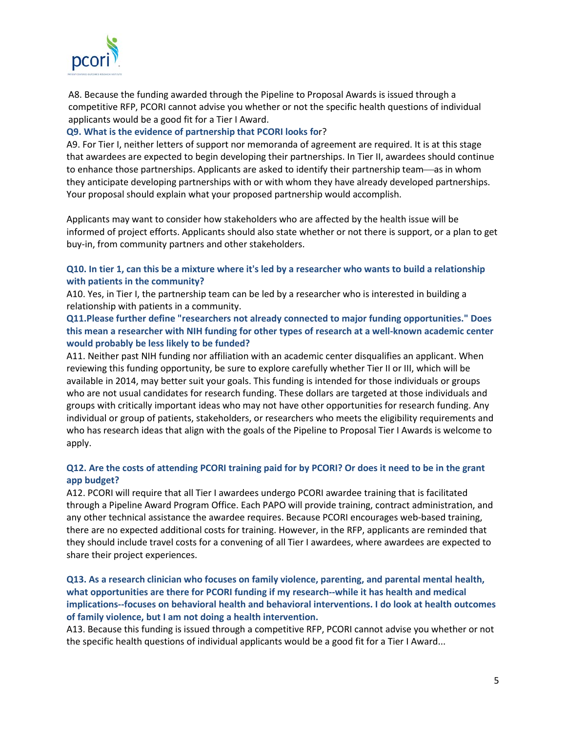

A8. Because the funding awarded through the Pipeline to Proposal Awards is issued through a competitive RFP, PCORI cannot advise you whether or not the specific health questions of individual applicants would be a good fit for a Tier I Award.

### **Q9. What is the evidence of partnership that PCORI looks fo**r?

A9. For Tier I, neither letters of support nor memoranda of agreement are required. It is at this stage that awardees are expected to begin developing their partnerships. In Tier II, awardees should continue to enhance those partnerships. Applicants are asked to identify their partnership team—as in whom they anticipate developing partnerships with or with whom they have already developed partnerships. Your proposal should explain what your proposed partnership would accomplish.

Applicants may want to consider how stakeholders who are affected by the health issue will be informed of project efforts. Applicants should also state whether or not there is support, or a plan to get buy-in, from community partners and other stakeholders.

#### **Q10. In tier 1, can this be a mixture where it's led by a researcher who wants to build a relationship with patients in the community?**

A10. Yes, in Tier I, the partnership team can be led by a researcher who is interested in building a relationship with patients in a community.

#### **Q11.Please further define "researchers not already connected to major funding opportunities." Does this mean a researcher with NIH funding for other types of research at a well-known academic center would probably be less likely to be funded?**

A11. Neither past NIH funding nor affiliation with an academic center disqualifies an applicant. When reviewing this funding opportunity, be sure to explore carefully whether Tier II or III, which will be available in 2014, may better suit your goals. This funding is intended for those individuals or groups who are not usual candidates for research funding. These dollars are targeted at those individuals and groups with critically important ideas who may not have other opportunities for research funding. Any individual or group of patients, stakeholders, or researchers who meets the eligibility requirements and who has research ideas that align with the goals of the Pipeline to Proposal Tier I Awards is welcome to apply.

### **Q12. Are the costs of attending PCORI training paid for by PCORI? Or does it need to be in the grant app budget?**

A12. PCORI will require that all Tier I awardees undergo PCORI awardee training that is facilitated through a Pipeline Award Program Office. Each PAPO will provide training, contract administration, and any other technical assistance the awardee requires. Because PCORI encourages web-based training, there are no expected additional costs for training. However, in the RFP, applicants are reminded that they should include travel costs for a convening of all Tier I awardees, where awardees are expected to share their project experiences.

**Q13. As a research clinician who focuses on family violence, parenting, and parental mental health, what opportunities are there for PCORI funding if my research--while it has health and medical implications--focuses on behavioral health and behavioral interventions. I do look at health outcomes of family violence, but I am not doing a health intervention.** 

A13. Because this funding is issued through a competitive RFP, PCORI cannot advise you whether or not the specific health questions of individual applicants would be a good fit for a Tier I Award...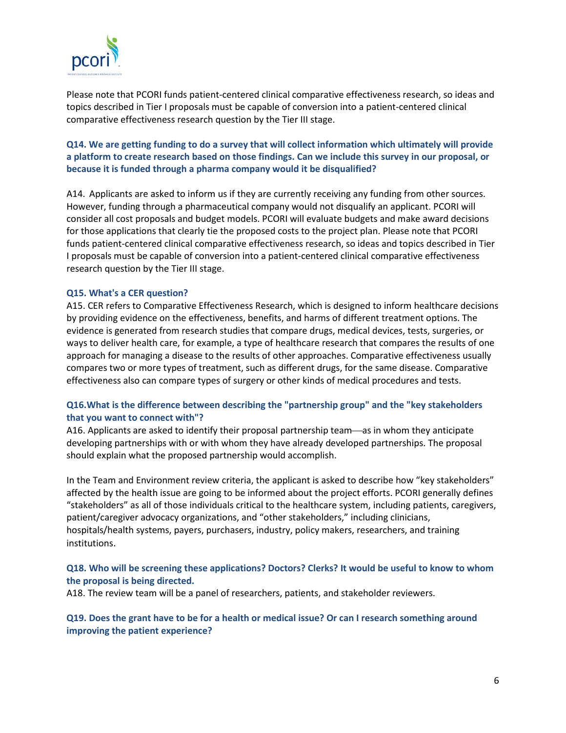

Please note that PCORI funds patient-centered clinical comparative effectiveness research, so ideas and topics described in Tier I proposals must be capable of conversion into a patient-centered clinical comparative effectiveness research question by the Tier III stage.

**Q14. We are getting funding to do a survey that will collect information which ultimately will provide a platform to create research based on those findings. Can we include this survey in our proposal, or because it is funded through a pharma company would it be disqualified?** 

A14. Applicants are asked to inform us if they are currently receiving any funding from other sources. However, funding through a pharmaceutical company would not disqualify an applicant. PCORI will consider all cost proposals and budget models. PCORI will evaluate budgets and make award decisions for those applications that clearly tie the proposed costs to the project plan. Please note that PCORI funds patient-centered clinical comparative effectiveness research, so ideas and topics described in Tier I proposals must be capable of conversion into a patient-centered clinical comparative effectiveness research question by the Tier III stage.

#### **Q15. What's a CER question?**

A15. CER refers to Comparative Effectiveness Research, which is designed to inform healthcare decisions by providing evidence on the effectiveness, benefits, and harms of different treatment options. The evidence is generated from research studies that compare drugs, medical devices, tests, surgeries, or ways to deliver health care, for example, a type of healthcare research that compares the results of one approach for managing a disease to the results of other approaches. Comparative effectiveness usually compares two or more types of treatment, such as different drugs, for the same disease. Comparative effectiveness also can compare types of surgery or other kinds of medical procedures and tests.

#### **Q16.What is the difference between describing the "partnership group" and the "key stakeholders that you want to connect with"?**

A16. Applicants are asked to identify their proposal partnership team—as in whom they anticipate developing partnerships with or with whom they have already developed partnerships. The proposal should explain what the proposed partnership would accomplish.

In the Team and Environment review criteria, the applicant is asked to describe how "key stakeholders" affected by the health issue are going to be informed about the project efforts. PCORI generally defines "stakeholders" as all of those individuals critical to the healthcare system, including patients, caregivers, patient/caregiver advocacy organizations, and "other stakeholders," including clinicians, hospitals/health systems, payers, purchasers, industry, policy makers, researchers, and training institutions.

#### **Q18. Who will be screening these applications? Doctors? Clerks? It would be useful to know to whom the proposal is being directed.**

A18. The review team will be a panel of researchers, patients, and stakeholder reviewers.

#### **Q19. Does the grant have to be for a health or medical issue? Or can I research something around improving the patient experience?**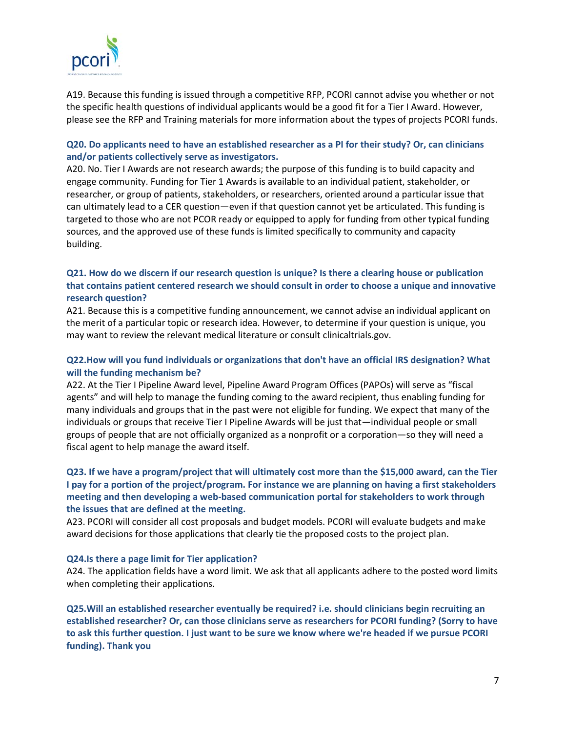

A19. Because this funding is issued through a competitive RFP, PCORI cannot advise you whether or not the specific health questions of individual applicants would be a good fit for a Tier I Award. However, please see the RFP and Training materials for more information about the types of projects PCORI funds.

#### **Q20. Do applicants need to have an established researcher as a PI for their study? Or, can clinicians and/or patients collectively serve as investigators.**

A20. No. Tier I Awards are not research awards; the purpose of this funding is to build capacity and engage community. Funding for Tier 1 Awards is available to an individual patient, stakeholder, or researcher, or group of patients, stakeholders, or researchers, oriented around a particular issue that can ultimately lead to a CER question—even if that question cannot yet be articulated. This funding is targeted to those who are not PCOR ready or equipped to apply for funding from other typical funding sources, and the approved use of these funds is limited specifically to community and capacity building.

### **Q21. How do we discern if our research question is unique? Is there a clearing house or publication that contains patient centered research we should consult in order to choose a unique and innovative research question?**

A21. Because this is a competitive funding announcement, we cannot advise an individual applicant on the merit of a particular topic or research idea. However, to determine if your question is unique, you may want to review the relevant medical literature or consult clinicaltrials.gov.

#### **Q22.How will you fund individuals or organizations that don't have an official IRS designation? What will the funding mechanism be?**

A22. At the Tier I Pipeline Award level, Pipeline Award Program Offices (PAPOs) will serve as "fiscal agents" and will help to manage the funding coming to the award recipient, thus enabling funding for many individuals and groups that in the past were not eligible for funding. We expect that many of the individuals or groups that receive Tier I Pipeline Awards will be just that—individual people or small groups of people that are not officially organized as a nonprofit or a corporation—so they will need a fiscal agent to help manage the award itself.

### **Q23. If we have a program/project that will ultimately cost more than the \$15,000 award, can the Tier I pay for a portion of the project/program. For instance we are planning on having a first stakeholders meeting and then developing a web-based communication portal for stakeholders to work through the issues that are defined at the meeting.**

A23. PCORI will consider all cost proposals and budget models. PCORI will evaluate budgets and make award decisions for those applications that clearly tie the proposed costs to the project plan.

#### **Q24.Is there a page limit for Tier application?**

A24. The application fields have a word limit. We ask that all applicants adhere to the posted word limits when completing their applications.

**Q25.Will an established researcher eventually be required? i.e. should clinicians begin recruiting an established researcher? Or, can those clinicians serve as researchers for PCORI funding? (Sorry to have to ask this further question. I just want to be sure we know where we're headed if we pursue PCORI funding). Thank you**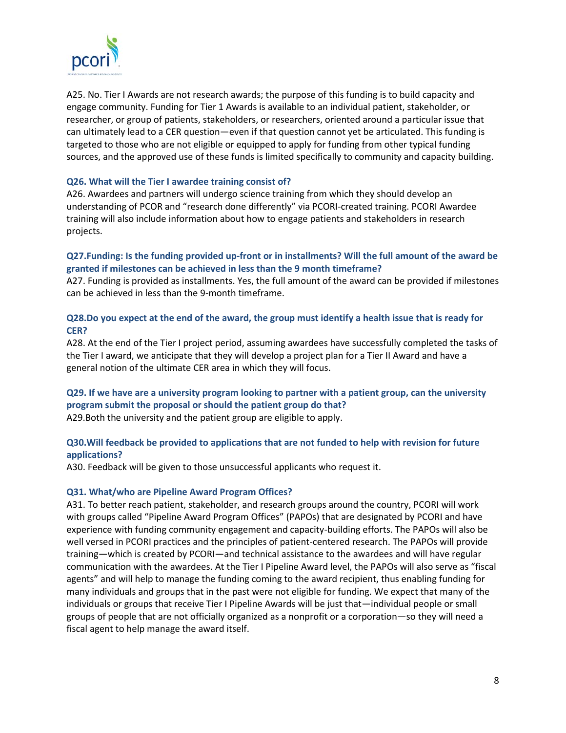

A25. No. Tier I Awards are not research awards; the purpose of this funding is to build capacity and engage community. Funding for Tier 1 Awards is available to an individual patient, stakeholder, or researcher, or group of patients, stakeholders, or researchers, oriented around a particular issue that can ultimately lead to a CER question—even if that question cannot yet be articulated. This funding is targeted to those who are not eligible or equipped to apply for funding from other typical funding sources, and the approved use of these funds is limited specifically to community and capacity building.

#### **Q26. What will the Tier I awardee training consist of?**

A26. Awardees and partners will undergo science training from which they should develop an understanding of PCOR and "research done differently" via PCORI-created training. PCORI Awardee training will also include information about how to engage patients and stakeholders in research projects.

#### **Q27.Funding: Is the funding provided up-front or in installments? Will the full amount of the award be granted if milestones can be achieved in less than the 9 month timeframe?**

A27. Funding is provided as installments. Yes, the full amount of the award can be provided if milestones can be achieved in less than the 9-month timeframe.

#### **Q28.Do you expect at the end of the award, the group must identify a health issue that is ready for CER?**

A28. At the end of the Tier I project period, assuming awardees have successfully completed the tasks of the Tier I award, we anticipate that they will develop a project plan for a Tier II Award and have a general notion of the ultimate CER area in which they will focus.

## **Q29. If we have are a university program looking to partner with a patient group, can the university program submit the proposal or should the patient group do that?**

A29.Both the university and the patient group are eligible to apply.

#### **Q30.Will feedback be provided to applications that are not funded to help with revision for future applications?**

A30. Feedback will be given to those unsuccessful applicants who request it.

#### **Q31. What/who are Pipeline Award Program Offices?**

A31. To better reach patient, stakeholder, and research groups around the country, PCORI will work with groups called "Pipeline Award Program Offices" (PAPOs) that are designated by PCORI and have experience with funding community engagement and capacity-building efforts. The PAPOs will also be well versed in PCORI practices and the principles of patient-centered research. The PAPOs will provide training—which is created by PCORI—and technical assistance to the awardees and will have regular communication with the awardees. At the Tier I Pipeline Award level, the PAPOs will also serve as "fiscal agents" and will help to manage the funding coming to the award recipient, thus enabling funding for many individuals and groups that in the past were not eligible for funding. We expect that many of the individuals or groups that receive Tier I Pipeline Awards will be just that—individual people or small groups of people that are not officially organized as a nonprofit or a corporation—so they will need a fiscal agent to help manage the award itself.